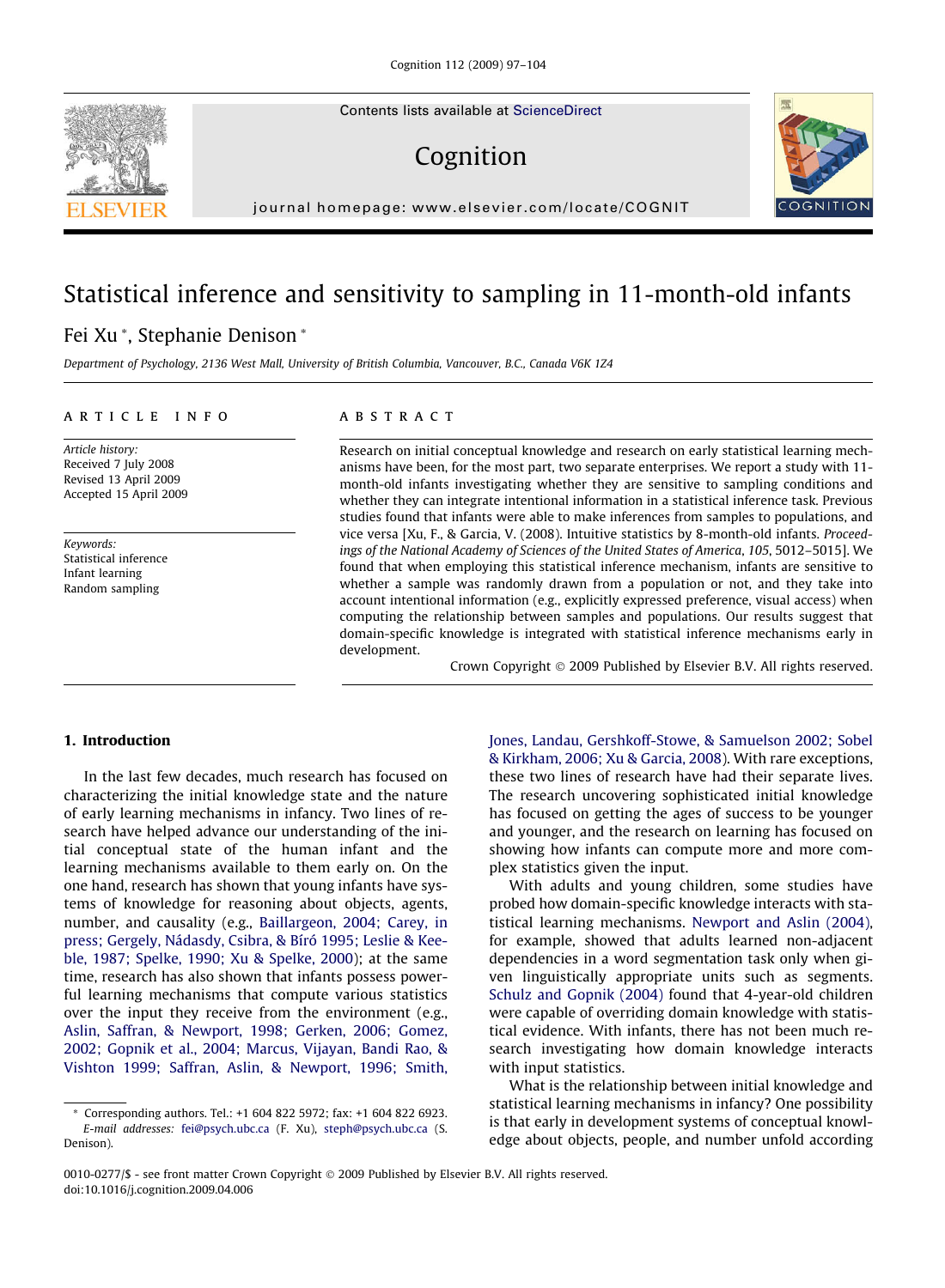Contents lists available at [ScienceDirect](http://www.sciencedirect.com/science/journal/00100277)

# Cognition



journal homepage: [www.elsevier.com/locate/COGNIT](http://www.elsevier.com/locate/COGNIT)

# Statistical inference and sensitivity to sampling in 11-month-old infants

# Fei Xu \*, Stephanie Denison \*

Department of Psychology, 2136 West Mall, University of British Columbia, Vancouver, B.C., Canada V6K 1Z4

#### article info

Article history: Received 7 July 2008 Revised 13 April 2009 Accepted 15 April 2009

Keywords: Statistical inference Infant learning Random sampling

#### **ARSTRACT**

Research on initial conceptual knowledge and research on early statistical learning mechanisms have been, for the most part, two separate enterprises. We report a study with 11 month-old infants investigating whether they are sensitive to sampling conditions and whether they can integrate intentional information in a statistical inference task. Previous studies found that infants were able to make inferences from samples to populations, and vice versa [Xu, F., & Garcia, V. (2008). Intuitive statistics by 8-month-old infants. Proceedings of the National Academy of Sciences of the United States of America, 105, 5012–5015]. We found that when employing this statistical inference mechanism, infants are sensitive to whether a sample was randomly drawn from a population or not, and they take into account intentional information (e.g., explicitly expressed preference, visual access) when computing the relationship between samples and populations. Our results suggest that domain-specific knowledge is integrated with statistical inference mechanisms early in development.

Crown Copyright © 2009 Published by Elsevier B.V. All rights reserved.

# 1. Introduction

In the last few decades, much research has focused on characterizing the initial knowledge state and the nature of early learning mechanisms in infancy. Two lines of research have helped advance our understanding of the initial conceptual state of the human infant and the learning mechanisms available to them early on. On the one hand, research has shown that young infants have systems of knowledge for reasoning about objects, agents, number, and causality (e.g., [Baillargeon, 2004; Carey, in](#page-6-0) [press; Gergely, Nádasdy, Csibra, & Bíró 1995; Leslie & Kee](#page-6-0)[ble, 1987; Spelke, 1990; Xu & Spelke, 2000\)](#page-6-0); at the same time, research has also shown that infants possess powerful learning mechanisms that compute various statistics over the input they receive from the environment (e.g., [Aslin, Saffran, & Newport, 1998; Gerken, 2006; Gomez,](#page-6-0) [2002; Gopnik et al., 2004; Marcus, Vijayan, Bandi Rao, &](#page-6-0) [Vishton 1999; Saffran, Aslin, & Newport, 1996; Smith,](#page-6-0) [Jones, Landau, Gershkoff-Stowe, & Samuelson 2002; Sobel](#page-6-0) [& Kirkham, 2006; Xu & Garcia, 2008\)](#page-6-0). With rare exceptions, these two lines of research have had their separate lives. The research uncovering sophisticated initial knowledge has focused on getting the ages of success to be younger and younger, and the research on learning has focused on showing how infants can compute more and more complex statistics given the input.

With adults and young children, some studies have probed how domain-specific knowledge interacts with statistical learning mechanisms. [Newport and Aslin \(2004\)](#page-7-0), for example, showed that adults learned non-adjacent dependencies in a word segmentation task only when given linguistically appropriate units such as segments. [Schulz and Gopnik \(2004\)](#page-7-0) found that 4-year-old children were capable of overriding domain knowledge with statistical evidence. With infants, there has not been much research investigating how domain knowledge interacts with input statistics.

What is the relationship between initial knowledge and statistical learning mechanisms in infancy? One possibility is that early in development systems of conceptual knowledge about objects, people, and number unfold according



<sup>\*</sup> Corresponding authors. Tel.: +1 604 822 5972; fax: +1 604 822 6923. E-mail addresses: [fei@psych.ubc.ca](mailto:fei@psych.ubc.ca) (F. Xu), [steph@psych.ubc.ca](mailto:steph@psych.ubc.ca) (S. Denison).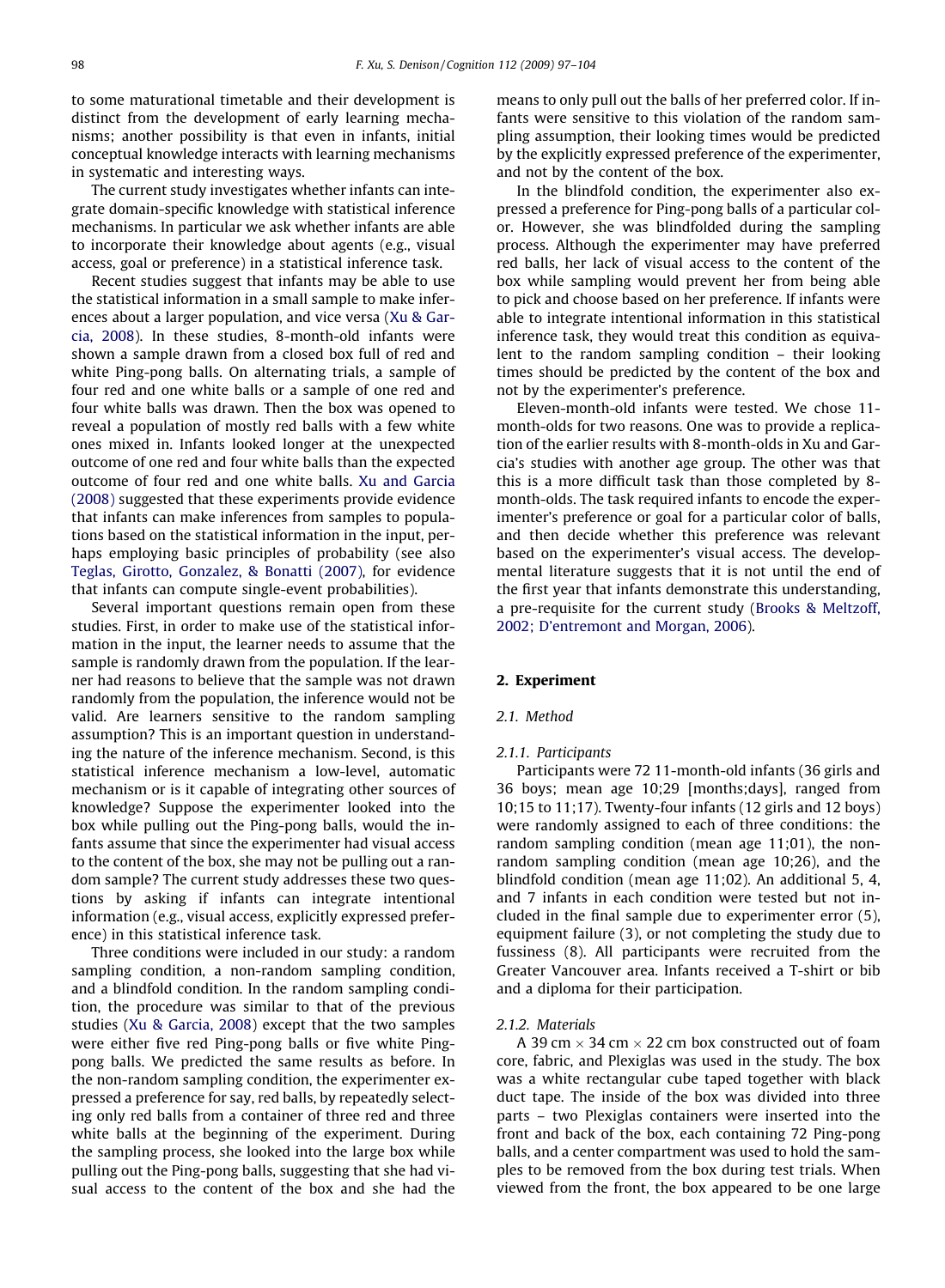to some maturational timetable and their development is distinct from the development of early learning mechanisms; another possibility is that even in infants, initial conceptual knowledge interacts with learning mechanisms in systematic and interesting ways.

The current study investigates whether infants can integrate domain-specific knowledge with statistical inference mechanisms. In particular we ask whether infants are able to incorporate their knowledge about agents (e.g., visual access, goal or preference) in a statistical inference task.

Recent studies suggest that infants may be able to use the statistical information in a small sample to make inferences about a larger population, and vice versa ([Xu & Gar](#page-7-0)[cia, 2008\)](#page-7-0). In these studies, 8-month-old infants were shown a sample drawn from a closed box full of red and white Ping-pong balls. On alternating trials, a sample of four red and one white balls or a sample of one red and four white balls was drawn. Then the box was opened to reveal a population of mostly red balls with a few white ones mixed in. Infants looked longer at the unexpected outcome of one red and four white balls than the expected outcome of four red and one white balls. [Xu and Garcia](#page-7-0) [\(2008\)](#page-7-0) suggested that these experiments provide evidence that infants can make inferences from samples to populations based on the statistical information in the input, perhaps employing basic principles of probability (see also [Teglas, Girotto, Gonzalez, & Bonatti \(2007\),](#page-7-0) for evidence that infants can compute single-event probabilities).

Several important questions remain open from these studies. First, in order to make use of the statistical information in the input, the learner needs to assume that the sample is randomly drawn from the population. If the learner had reasons to believe that the sample was not drawn randomly from the population, the inference would not be valid. Are learners sensitive to the random sampling assumption? This is an important question in understanding the nature of the inference mechanism. Second, is this statistical inference mechanism a low-level, automatic mechanism or is it capable of integrating other sources of knowledge? Suppose the experimenter looked into the box while pulling out the Ping-pong balls, would the infants assume that since the experimenter had visual access to the content of the box, she may not be pulling out a random sample? The current study addresses these two questions by asking if infants can integrate intentional information (e.g., visual access, explicitly expressed preference) in this statistical inference task.

Three conditions were included in our study: a random sampling condition, a non-random sampling condition, and a blindfold condition. In the random sampling condition, the procedure was similar to that of the previous studies [\(Xu & Garcia, 2008](#page-7-0)) except that the two samples were either five red Ping-pong balls or five white Pingpong balls. We predicted the same results as before. In the non-random sampling condition, the experimenter expressed a preference for say, red balls, by repeatedly selecting only red balls from a container of three red and three white balls at the beginning of the experiment. During the sampling process, she looked into the large box while pulling out the Ping-pong balls, suggesting that she had visual access to the content of the box and she had the

means to only pull out the balls of her preferred color. If infants were sensitive to this violation of the random sampling assumption, their looking times would be predicted by the explicitly expressed preference of the experimenter, and not by the content of the box.

In the blindfold condition, the experimenter also expressed a preference for Ping-pong balls of a particular color. However, she was blindfolded during the sampling process. Although the experimenter may have preferred red balls, her lack of visual access to the content of the box while sampling would prevent her from being able to pick and choose based on her preference. If infants were able to integrate intentional information in this statistical inference task, they would treat this condition as equivalent to the random sampling condition – their looking times should be predicted by the content of the box and not by the experimenter's preference.

Eleven-month-old infants were tested. We chose 11 month-olds for two reasons. One was to provide a replication of the earlier results with 8-month-olds in Xu and Garcia's studies with another age group. The other was that this is a more difficult task than those completed by 8 month-olds. The task required infants to encode the experimenter's preference or goal for a particular color of balls, and then decide whether this preference was relevant based on the experimenter's visual access. The developmental literature suggests that it is not until the end of the first year that infants demonstrate this understanding, a pre-requisite for the current study ([Brooks & Meltzoff,](#page-6-0) [2002; D'entremont and Morgan, 2006](#page-6-0)).

### 2. Experiment

## 2.1. Method

#### 2.1.1. Participants

Participants were 72 11-month-old infants (36 girls and 36 boys; mean age 10;29 [months;days], ranged from 10;15 to 11;17). Twenty-four infants (12 girls and 12 boys) were randomly assigned to each of three conditions: the random sampling condition (mean age 11;01), the nonrandom sampling condition (mean age 10;26), and the blindfold condition (mean age 11;02). An additional 5, 4, and 7 infants in each condition were tested but not included in the final sample due to experimenter error (5), equipment failure (3), or not completing the study due to fussiness (8). All participants were recruited from the Greater Vancouver area. Infants received a T-shirt or bib and a diploma for their participation.

#### 2.1.2. Materials

A 39 cm  $\times$  34 cm  $\times$  22 cm box constructed out of foam core, fabric, and Plexiglas was used in the study. The box was a white rectangular cube taped together with black duct tape. The inside of the box was divided into three parts – two Plexiglas containers were inserted into the front and back of the box, each containing 72 Ping-pong balls, and a center compartment was used to hold the samples to be removed from the box during test trials. When viewed from the front, the box appeared to be one large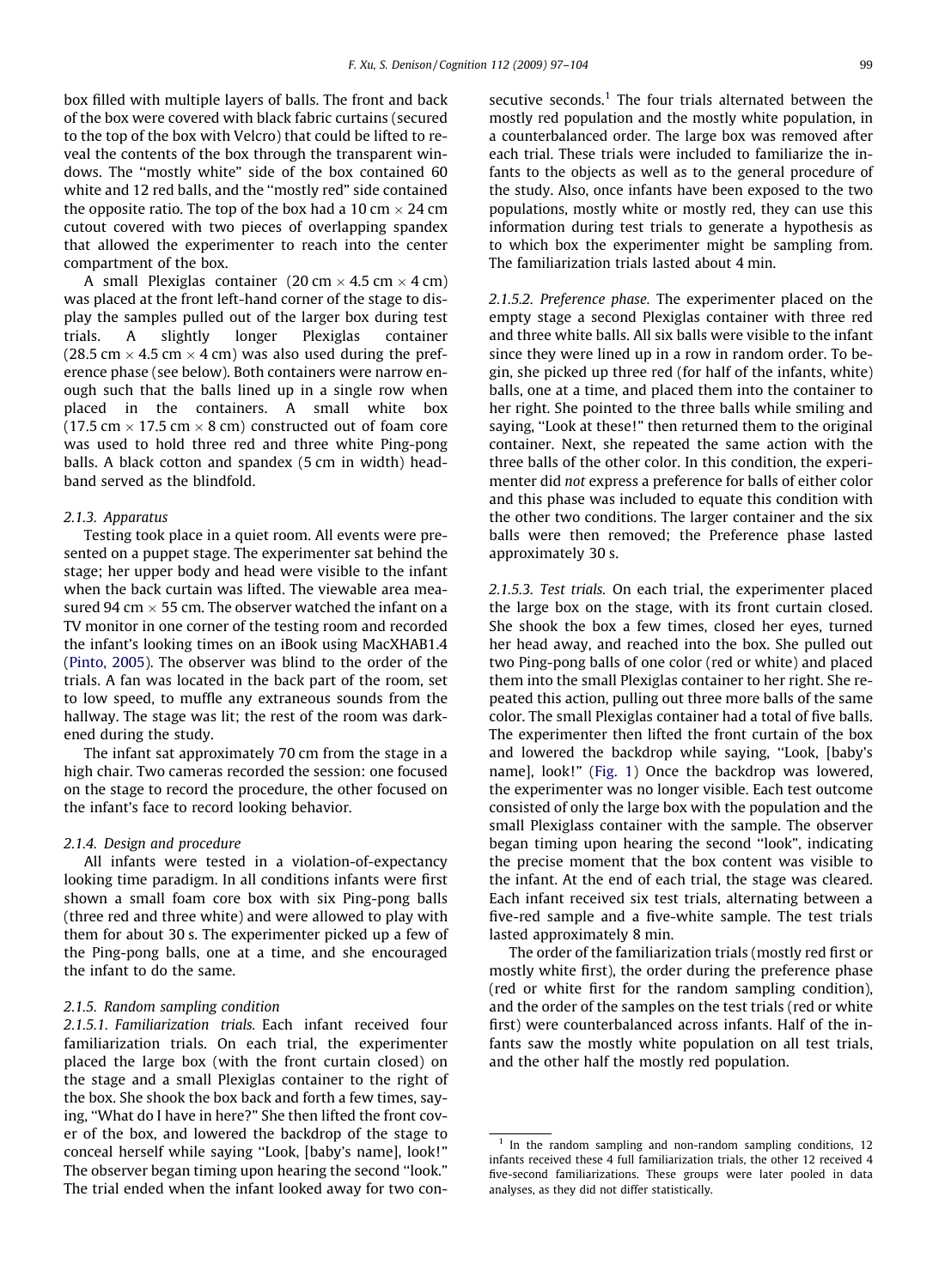box filled with multiple layers of balls. The front and back of the box were covered with black fabric curtains (secured to the top of the box with Velcro) that could be lifted to reveal the contents of the box through the transparent windows. The ''mostly white" side of the box contained 60 white and 12 red balls, and the ''mostly red" side contained the opposite ratio. The top of the box had a 10 cm  $\times$  24 cm cutout covered with two pieces of overlapping spandex that allowed the experimenter to reach into the center compartment of the box.

A small Plexiglas container (20 cm  $\times$  4.5 cm  $\times$  4 cm) was placed at the front left-hand corner of the stage to display the samples pulled out of the larger box during test trials. A slightly longer Plexiglas container (28.5 cm  $\times$  4.5 cm  $\times$  4 cm) was also used during the preference phase (see below). Both containers were narrow enough such that the balls lined up in a single row when placed in the containers. A small white box (17.5 cm  $\times$  17.5 cm  $\times$  8 cm) constructed out of foam core was used to hold three red and three white Ping-pong balls. A black cotton and spandex (5 cm in width) headband served as the blindfold.

## 2.1.3. Apparatus

Testing took place in a quiet room. All events were presented on a puppet stage. The experimenter sat behind the stage; her upper body and head were visible to the infant when the back curtain was lifted. The viewable area measured 94 cm  $\times$  55 cm. The observer watched the infant on a TV monitor in one corner of the testing room and recorded the infant's looking times on an iBook using MacXHAB1.4 ([Pinto, 2005\)](#page-7-0). The observer was blind to the order of the trials. A fan was located in the back part of the room, set to low speed, to muffle any extraneous sounds from the hallway. The stage was lit; the rest of the room was darkened during the study.

The infant sat approximately 70 cm from the stage in a high chair. Two cameras recorded the session: one focused on the stage to record the procedure, the other focused on the infant's face to record looking behavior.

#### 2.1.4. Design and procedure

All infants were tested in a violation-of-expectancy looking time paradigm. In all conditions infants were first shown a small foam core box with six Ping-pong balls (three red and three white) and were allowed to play with them for about 30 s. The experimenter picked up a few of the Ping-pong balls, one at a time, and she encouraged the infant to do the same.

## 2.1.5. Random sampling condition

2.1.5.1. Familiarization trials. Each infant received four familiarization trials. On each trial, the experimenter placed the large box (with the front curtain closed) on the stage and a small Plexiglas container to the right of the box. She shook the box back and forth a few times, saying, ''What do I have in here?" She then lifted the front cover of the box, and lowered the backdrop of the stage to conceal herself while saying ''Look, [baby's name], look!" The observer began timing upon hearing the second ''look." The trial ended when the infant looked away for two consecutive seconds.<sup>1</sup> The four trials alternated between the mostly red population and the mostly white population, in a counterbalanced order. The large box was removed after each trial. These trials were included to familiarize the infants to the objects as well as to the general procedure of the study. Also, once infants have been exposed to the two populations, mostly white or mostly red, they can use this information during test trials to generate a hypothesis as to which box the experimenter might be sampling from. The familiarization trials lasted about 4 min.

2.1.5.2. Preference phase. The experimenter placed on the empty stage a second Plexiglas container with three red and three white balls. All six balls were visible to the infant since they were lined up in a row in random order. To begin, she picked up three red (for half of the infants, white) balls, one at a time, and placed them into the container to her right. She pointed to the three balls while smiling and saying, ''Look at these!" then returned them to the original container. Next, she repeated the same action with the three balls of the other color. In this condition, the experimenter did not express a preference for balls of either color and this phase was included to equate this condition with the other two conditions. The larger container and the six balls were then removed; the Preference phase lasted approximately 30 s.

2.1.5.3. Test trials. On each trial, the experimenter placed the large box on the stage, with its front curtain closed. She shook the box a few times, closed her eyes, turned her head away, and reached into the box. She pulled out two Ping-pong balls of one color (red or white) and placed them into the small Plexiglas container to her right. She repeated this action, pulling out three more balls of the same color. The small Plexiglas container had a total of five balls. The experimenter then lifted the front curtain of the box and lowered the backdrop while saying, ''Look, [baby's name], look!" ([Fig. 1\)](#page-3-0) Once the backdrop was lowered, the experimenter was no longer visible. Each test outcome consisted of only the large box with the population and the small Plexiglass container with the sample. The observer began timing upon hearing the second ''look", indicating the precise moment that the box content was visible to the infant. At the end of each trial, the stage was cleared. Each infant received six test trials, alternating between a five-red sample and a five-white sample. The test trials lasted approximately 8 min.

The order of the familiarization trials (mostly red first or mostly white first), the order during the preference phase (red or white first for the random sampling condition), and the order of the samples on the test trials (red or white first) were counterbalanced across infants. Half of the infants saw the mostly white population on all test trials, and the other half the mostly red population.

In the random sampling and non-random sampling conditions, 12 infants received these 4 full familiarization trials, the other 12 received 4 five-second familiarizations. These groups were later pooled in data analyses, as they did not differ statistically.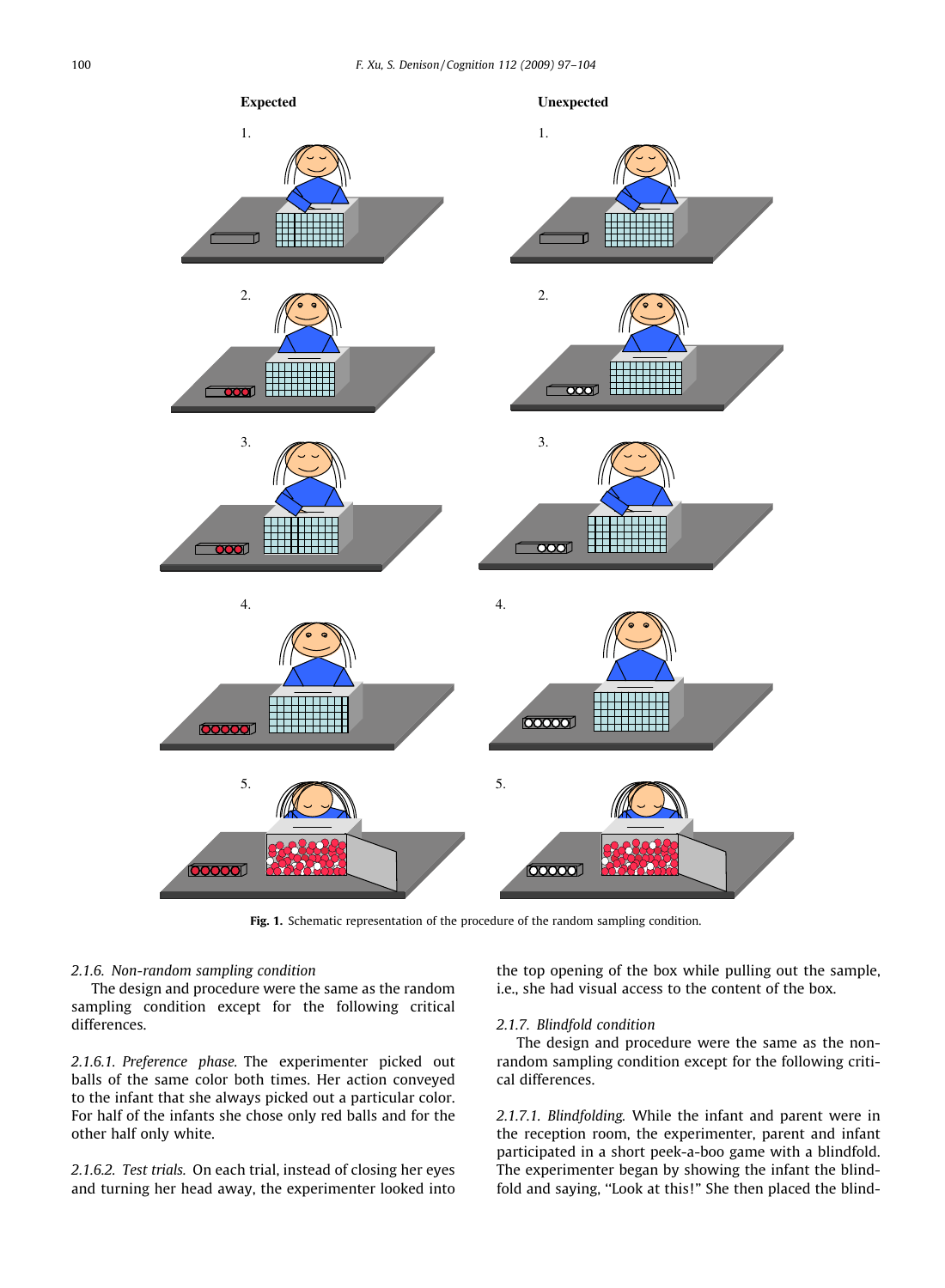<span id="page-3-0"></span>

Fig. 1. Schematic representation of the procedure of the random sampling condition.

# 2.1.6. Non-random sampling condition

The design and procedure were the same as the random sampling condition except for the following critical differences.

2.1.6.1. Preference phase. The experimenter picked out balls of the same color both times. Her action conveyed to the infant that she always picked out a particular color. For half of the infants she chose only red balls and for the other half only white.

2.1.6.2. Test trials. On each trial, instead of closing her eyes and turning her head away, the experimenter looked into

the top opening of the box while pulling out the sample, i.e., she had visual access to the content of the box.

## 2.1.7. Blindfold condition

The design and procedure were the same as the nonrandom sampling condition except for the following critical differences.

2.1.7.1. Blindfolding. While the infant and parent were in the reception room, the experimenter, parent and infant participated in a short peek-a-boo game with a blindfold. The experimenter began by showing the infant the blindfold and saying, ''Look at this!" She then placed the blind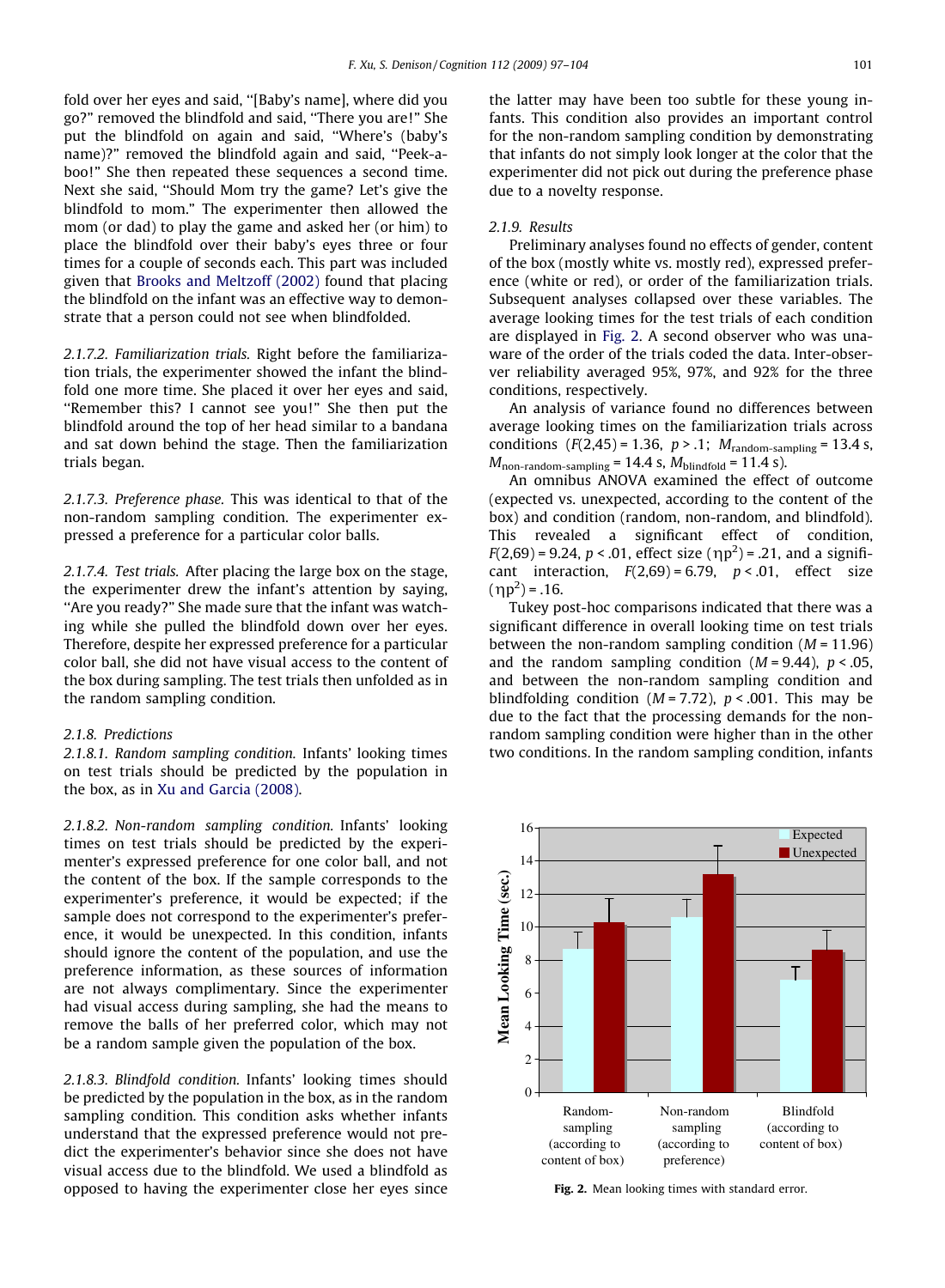fold over her eyes and said, ''[Baby's name], where did you go?" removed the blindfold and said, ''There you are!" She put the blindfold on again and said, ''Where's (baby's name)?" removed the blindfold again and said, ''Peek-aboo!" She then repeated these sequences a second time. Next she said, ''Should Mom try the game? Let's give the blindfold to mom." The experimenter then allowed the mom (or dad) to play the game and asked her (or him) to place the blindfold over their baby's eyes three or four times for a couple of seconds each. This part was included given that [Brooks and Meltzoff \(2002\)](#page-6-0) found that placing the blindfold on the infant was an effective way to demonstrate that a person could not see when blindfolded.

2.1.7.2. Familiarization trials. Right before the familiarization trials, the experimenter showed the infant the blindfold one more time. She placed it over her eyes and said, ''Remember this? I cannot see you!" She then put the blindfold around the top of her head similar to a bandana and sat down behind the stage. Then the familiarization trials began.

2.1.7.3. Preference phase. This was identical to that of the non-random sampling condition. The experimenter expressed a preference for a particular color balls.

2.1.7.4. Test trials. After placing the large box on the stage, the experimenter drew the infant's attention by saying, ''Are you ready?" She made sure that the infant was watching while she pulled the blindfold down over her eyes. Therefore, despite her expressed preference for a particular color ball, she did not have visual access to the content of the box during sampling. The test trials then unfolded as in the random sampling condition.

# 2.1.8. Predictions

2.1.8.1. Random sampling condition. Infants' looking times on test trials should be predicted by the population in the box, as in [Xu and Garcia \(2008\)](#page-7-0).

2.1.8.2. Non-random sampling condition. Infants' looking times on test trials should be predicted by the experimenter's expressed preference for one color ball, and not the content of the box. If the sample corresponds to the experimenter's preference, it would be expected; if the sample does not correspond to the experimenter's preference, it would be unexpected. In this condition, infants should ignore the content of the population, and use the preference information, as these sources of information are not always complimentary. Since the experimenter had visual access during sampling, she had the means to remove the balls of her preferred color, which may not be a random sample given the population of the box.

2.1.8.3. Blindfold condition. Infants' looking times should be predicted by the population in the box, as in the random sampling condition. This condition asks whether infants understand that the expressed preference would not predict the experimenter's behavior since she does not have visual access due to the blindfold. We used a blindfold as opposed to having the experimenter close her eyes since the latter may have been too subtle for these young infants. This condition also provides an important control for the non-random sampling condition by demonstrating that infants do not simply look longer at the color that the experimenter did not pick out during the preference phase due to a novelty response.

#### 2.1.9. Results

Preliminary analyses found no effects of gender, content of the box (mostly white vs. mostly red), expressed preference (white or red), or order of the familiarization trials. Subsequent analyses collapsed over these variables. The average looking times for the test trials of each condition are displayed in Fig. 2. A second observer who was unaware of the order of the trials coded the data. Inter-observer reliability averaged 95%, 97%, and 92% for the three conditions, respectively.

An analysis of variance found no differences between average looking times on the familiarization trials across conditions  $(F(2, 45) = 1.36, p > .1; M_{random-sampling} = 13.4 s,$  $M_{\text{non-random-sampling}} = 14.4 \text{ s}, M_{\text{blindfold}} = 11.4 \text{ s}.$ 

An omnibus ANOVA examined the effect of outcome (expected vs. unexpected, according to the content of the box) and condition (random, non-random, and blindfold). This revealed a significant effect of condition,  $F(2,69) = 9.24$ ,  $p < .01$ , effect size  $(\eta p^2) = .21$ , and a significant interaction,  $F(2,69) = 6.79$ ,  $p < .01$ , effect size  $(\eta p^2) = .16$ .

Tukey post-hoc comparisons indicated that there was a significant difference in overall looking time on test trials between the non-random sampling condition  $(M = 11.96)$ and the random sampling condition  $(M = 9.44)$ ,  $p < .05$ , and between the non-random sampling condition and blindfolding condition  $(M = 7.72)$ ,  $p < .001$ . This may be due to the fact that the processing demands for the nonrandom sampling condition were higher than in the other two conditions. In the random sampling condition, infants



Fig. 2. Mean looking times with standard error.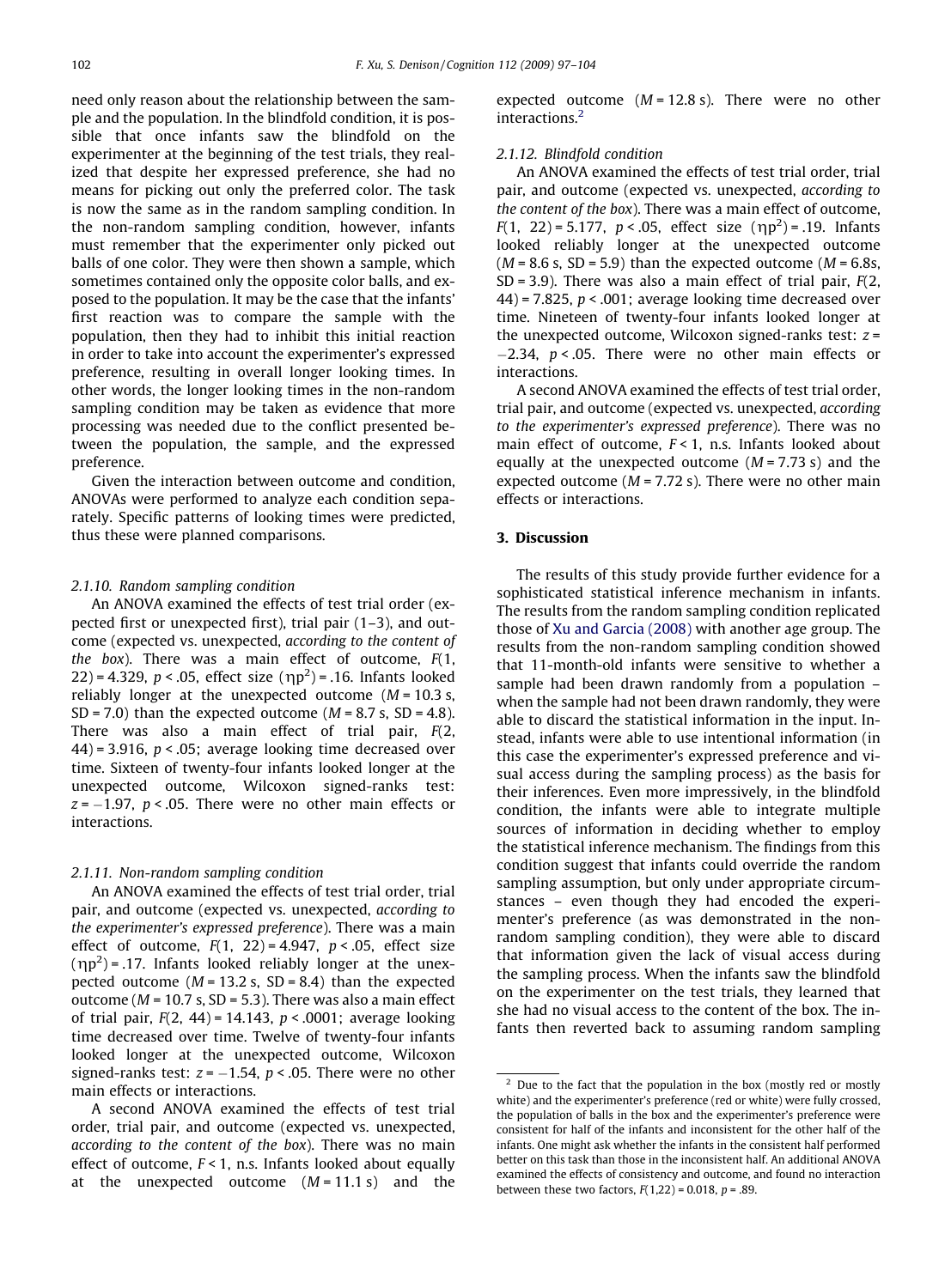need only reason about the relationship between the sample and the population. In the blindfold condition, it is possible that once infants saw the blindfold on the experimenter at the beginning of the test trials, they realized that despite her expressed preference, she had no means for picking out only the preferred color. The task is now the same as in the random sampling condition. In the non-random sampling condition, however, infants must remember that the experimenter only picked out balls of one color. They were then shown a sample, which sometimes contained only the opposite color balls, and exposed to the population. It may be the case that the infants' first reaction was to compare the sample with the population, then they had to inhibit this initial reaction in order to take into account the experimenter's expressed preference, resulting in overall longer looking times. In other words, the longer looking times in the non-random sampling condition may be taken as evidence that more processing was needed due to the conflict presented between the population, the sample, and the expressed preference.

Given the interaction between outcome and condition, ANOVAs were performed to analyze each condition separately. Specific patterns of looking times were predicted, thus these were planned comparisons.

#### 2.1.10. Random sampling condition

An ANOVA examined the effects of test trial order (expected first or unexpected first), trial pair (1–3), and outcome (expected vs. unexpected, according to the content of the box). There was a main effect of outcome,  $F(1, 1)$ 22) = 4.329,  $p < .05$ , effect size  $(\eta p^2)$  = .16. Infants looked reliably longer at the unexpected outcome  $(M = 10.3 s,$ SD = 7.0) than the expected outcome  $(M = 8.7 \text{ s}, \text{ SD} = 4.8)$ . There was also a main effect of trial pair, F(2, 44) = 3.916,  $p < .05$ ; average looking time decreased over time. Sixteen of twenty-four infants looked longer at the unexpected outcome, Wilcoxon signed-ranks test:  $z = -1.97$ ,  $p < .05$ . There were no other main effects or interactions.

#### 2.1.11. Non-random sampling condition

An ANOVA examined the effects of test trial order, trial pair, and outcome (expected vs. unexpected, according to the experimenter's expressed preference). There was a main effect of outcome,  $F(1, 22) = 4.947$ ,  $p < .05$ , effect size  $(\eta p^2)$  = .17. Infants looked reliably longer at the unexpected outcome ( $M = 13.2$  s, SD = 8.4) than the expected outcome ( $M = 10.7$  s, SD = 5.3). There was also a main effect of trial pair,  $F(2, 44) = 14.143$ ,  $p < .0001$ ; average looking time decreased over time. Twelve of twenty-four infants looked longer at the unexpected outcome, Wilcoxon signed-ranks test:  $z = -1.54$ ,  $p < .05$ . There were no other main effects or interactions.

A second ANOVA examined the effects of test trial order, trial pair, and outcome (expected vs. unexpected, according to the content of the box). There was no main effect of outcome,  $F < 1$ , n.s. Infants looked about equally at the unexpected outcome  $(M = 11.1 s)$  and the expected outcome  $(M = 12.8 s)$ . There were no other interactions.<sup>2</sup>

# 2.1.12. Blindfold condition

An ANOVA examined the effects of test trial order, trial pair, and outcome (expected vs. unexpected, according to the content of the box). There was a main effect of outcome,  $F(1, 22) = 5.177, p < .05$ , effect size  $(\eta p^2) = .19$ . Infants looked reliably longer at the unexpected outcome  $(M = 8.6 \text{ s}, SD = 5.9)$  than the expected outcome  $(M = 6.8 \text{ s},$  $SD = 3.9$ ). There was also a main effect of trial pair,  $F(2, 1)$  $(44)$  = 7.825,  $p < .001$ ; average looking time decreased over time. Nineteen of twenty-four infants looked longer at the unexpected outcome, Wilcoxon signed-ranks test:  $z =$  $-2.34$ ,  $p < .05$ . There were no other main effects or interactions.

A second ANOVA examined the effects of test trial order, trial pair, and outcome (expected vs. unexpected, according to the experimenter's expressed preference). There was no main effect of outcome,  $F < 1$ , n.s. Infants looked about equally at the unexpected outcome  $(M = 7.73 s)$  and the expected outcome ( $M = 7.72$  s). There were no other main effects or interactions.

# 3. Discussion

The results of this study provide further evidence for a sophisticated statistical inference mechanism in infants. The results from the random sampling condition replicated those of [Xu and Garcia \(2008\)](#page-7-0) with another age group. The results from the non-random sampling condition showed that 11-month-old infants were sensitive to whether a sample had been drawn randomly from a population – when the sample had not been drawn randomly, they were able to discard the statistical information in the input. Instead, infants were able to use intentional information (in this case the experimenter's expressed preference and visual access during the sampling process) as the basis for their inferences. Even more impressively, in the blindfold condition, the infants were able to integrate multiple sources of information in deciding whether to employ the statistical inference mechanism. The findings from this condition suggest that infants could override the random sampling assumption, but only under appropriate circumstances – even though they had encoded the experimenter's preference (as was demonstrated in the nonrandom sampling condition), they were able to discard that information given the lack of visual access during the sampling process. When the infants saw the blindfold on the experimenter on the test trials, they learned that she had no visual access to the content of the box. The infants then reverted back to assuming random sampling

<sup>&</sup>lt;sup>2</sup> Due to the fact that the population in the box (mostly red or mostly white) and the experimenter's preference (red or white) were fully crossed, the population of balls in the box and the experimenter's preference were consistent for half of the infants and inconsistent for the other half of the infants. One might ask whether the infants in the consistent half performed better on this task than those in the inconsistent half. An additional ANOVA examined the effects of consistency and outcome, and found no interaction between these two factors,  $F(1,22) = 0.018$ ,  $p = .89$ .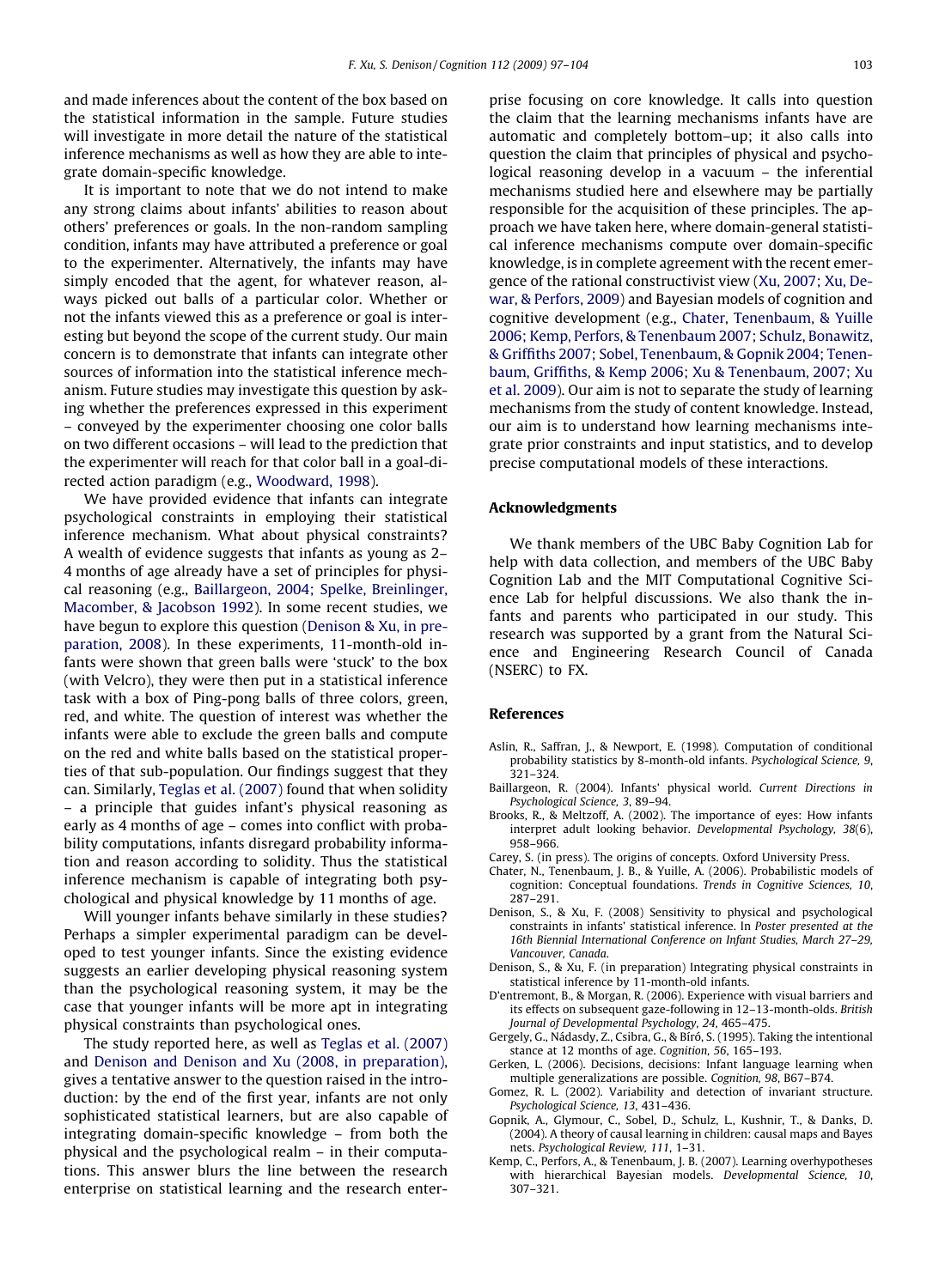<span id="page-6-0"></span>and made inferences about the content of the box based on the statistical information in the sample. Future studies will investigate in more detail the nature of the statistical inference mechanisms as well as how they are able to integrate domain-specific knowledge.

It is important to note that we do not intend to make any strong claims about infants' abilities to reason about others' preferences or goals. In the non-random sampling condition, infants may have attributed a preference or goal to the experimenter. Alternatively, the infants may have simply encoded that the agent, for whatever reason, always picked out balls of a particular color. Whether or not the infants viewed this as a preference or goal is interesting but beyond the scope of the current study. Our main concern is to demonstrate that infants can integrate other sources of information into the statistical inference mechanism. Future studies may investigate this question by asking whether the preferences expressed in this experiment – conveyed by the experimenter choosing one color balls on two different occasions – will lead to the prediction that the experimenter will reach for that color ball in a goal-directed action paradigm (e.g., [Woodward, 1998](#page-7-0)).

We have provided evidence that infants can integrate psychological constraints in employing their statistical inference mechanism. What about physical constraints? A wealth of evidence suggests that infants as young as 2– 4 months of age already have a set of principles for physical reasoning (e.g., Baillargeon, 2004; Spelke, Breinlinger, Macomber, & Jacobson 1992). In some recent studies, we have begun to explore this question (Denison & Xu, in preparation, 2008). In these experiments, 11-month-old infants were shown that green balls were 'stuck' to the box (with Velcro), they were then put in a statistical inference task with a box of Ping-pong balls of three colors, green, red, and white. The question of interest was whether the infants were able to exclude the green balls and compute on the red and white balls based on the statistical properties of that sub-population. Our findings suggest that they can. Similarly, [Teglas et al. \(2007\)](#page-7-0) found that when solidity – a principle that guides infant's physical reasoning as early as 4 months of age – comes into conflict with probability computations, infants disregard probability information and reason according to solidity. Thus the statistical inference mechanism is capable of integrating both psychological and physical knowledge by 11 months of age.

Will younger infants behave similarly in these studies? Perhaps a simpler experimental paradigm can be developed to test younger infants. Since the existing evidence suggests an earlier developing physical reasoning system than the psychological reasoning system, it may be the case that younger infants will be more apt in integrating physical constraints than psychological ones.

The study reported here, as well as [Teglas et al. \(2007\)](#page-7-0) and Denison and Denison and Xu (2008, in preparation), gives a tentative answer to the question raised in the introduction: by the end of the first year, infants are not only sophisticated statistical learners, but are also capable of integrating domain-specific knowledge – from both the physical and the psychological realm – in their computations. This answer blurs the line between the research enterprise on statistical learning and the research enter-

prise focusing on core knowledge. It calls into question the claim that the learning mechanisms infants have are automatic and completely bottom–up; it also calls into question the claim that principles of physical and psychological reasoning develop in a vacuum – the inferential mechanisms studied here and elsewhere may be partially responsible for the acquisition of these principles. The approach we have taken here, where domain-general statistical inference mechanisms compute over domain-specific knowledge, is in complete agreement with the recent emergence of the rational constructivist view [\(Xu, 2007; Xu, De](#page-7-0)[war, & Perfors, 2009](#page-7-0)) and Bayesian models of cognition and cognitive development (e.g., Chater, Tenenbaum, & Yuille 2006; Kemp, Perfors, & Tenenbaum 2007; Schulz, Bonawitz, & Griffiths 2007; Sobel, Tenenbaum, & Gopnik 2004; Tenenbaum, Griffiths, & Kemp 2006; Xu & Tenenbaum, 2007; Xu et al. 2009). Our aim is not to separate the study of learning mechanisms from the study of content knowledge. Instead, our aim is to understand how learning mechanisms integrate prior constraints and input statistics, and to develop precise computational models of these interactions.

#### Acknowledgments

We thank members of the UBC Baby Cognition Lab for help with data collection, and members of the UBC Baby Cognition Lab and the MIT Computational Cognitive Science Lab for helpful discussions. We also thank the infants and parents who participated in our study. This research was supported by a grant from the Natural Science and Engineering Research Council of Canada (NSERC) to FX.

#### References

- Aslin, R., Saffran, J., & Newport, E. (1998). Computation of conditional probability statistics by 8-month-old infants. Psychological Science, 9, 321–324.
- Baillargeon, R. (2004). Infants' physical world. Current Directions in Psychological Science, 3, 89–94.
- Brooks, R., & Meltzoff, A. (2002). The importance of eyes: How infants interpret adult looking behavior. Developmental Psychology, 38(6), 958–966.
- Carey, S. (in press). The origins of concepts. Oxford University Press.
- Chater, N., Tenenbaum, J. B., & Yuille, A. (2006). Probabilistic models of cognition: Conceptual foundations. Trends in Cognitive Sciences, 10, 287–291.
- Denison, S., & Xu, F. (2008) Sensitivity to physical and psychological constraints in infants' statistical inference. In Poster presented at the 16th Biennial International Conference on Infant Studies, March 27–29, Vancouver, Canada.
- Denison, S., & Xu, F. (in preparation) Integrating physical constraints in statistical inference by 11-month-old infants.
- D'entremont, B., & Morgan, R. (2006). Experience with visual barriers and its effects on subsequent gaze-following in 12–13-month-olds. British Journal of Developmental Psychology, 24, 465–475.
- Gergely, G., Nádasdy, Z., Csibra, G., & Bíró, S. (1995). Taking the intentional stance at 12 months of age. Cognition, 56, 165–193.
- Gerken, L. (2006). Decisions, decisions: Infant language learning when multiple generalizations are possible. Cognition, 98, B67–B74.
- Gomez, R. L. (2002). Variability and detection of invariant structure. Psychological Science, 13, 431–436.
- Gopnik, A., Glymour, C., Sobel, D., Schulz, L., Kushnir, T., & Danks, D. (2004). A theory of causal learning in children: causal maps and Bayes nets. Psychological Review, 111, 1–31.
- Kemp, C., Perfors, A., & Tenenbaum, J. B. (2007). Learning overhypotheses with hierarchical Bayesian models. Developmental Science, 10, 307–321.